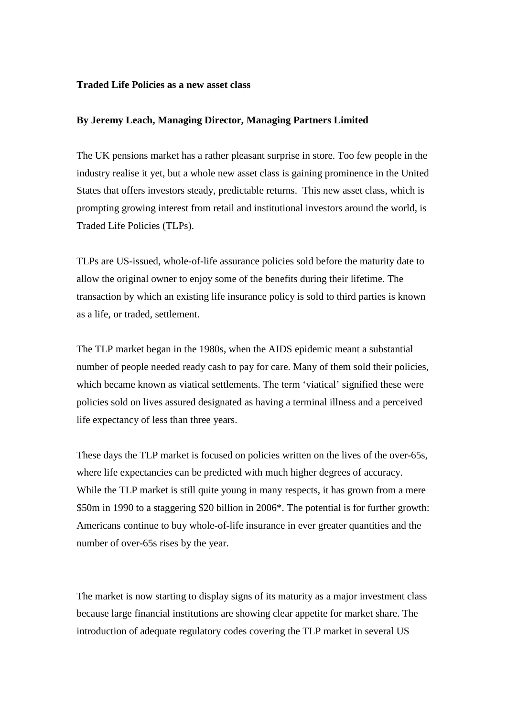## **Traded Life Policies as a new asset class**

## **By Jeremy Leach, Managing Director, Managing Partners Limited**

The UK pensions market has a rather pleasant surprise in store. Too few people in the industry realise it yet, but a whole new asset class is gaining prominence in the United States that offers investors steady, predictable returns. This new asset class, which is prompting growing interest from retail and institutional investors around the world, is Traded Life Policies (TLPs).

TLPs are US-issued, whole-of-life assurance policies sold before the maturity date to allow the original owner to enjoy some of the benefits during their lifetime. The transaction by which an existing life insurance policy is sold to third parties is known as a life, or traded, settlement.

The TLP market began in the 1980s, when the AIDS epidemic meant a substantial number of people needed ready cash to pay for care. Many of them sold their policies, which became known as viatical settlements. The term 'viatical' signified these were policies sold on lives assured designated as having a terminal illness and a perceived life expectancy of less than three years.

These days the TLP market is focused on policies written on the lives of the over-65s, where life expectancies can be predicted with much higher degrees of accuracy. While the TLP market is still quite young in many respects, it has grown from a mere \$50m in 1990 to a staggering \$20 billion in 2006\*. The potential is for further growth: Americans continue to buy whole-of-life insurance in ever greater quantities and the number of over-65s rises by the year.

The market is now starting to display signs of its maturity as a major investment class because large financial institutions are showing clear appetite for market share. The introduction of adequate regulatory codes covering the TLP market in several US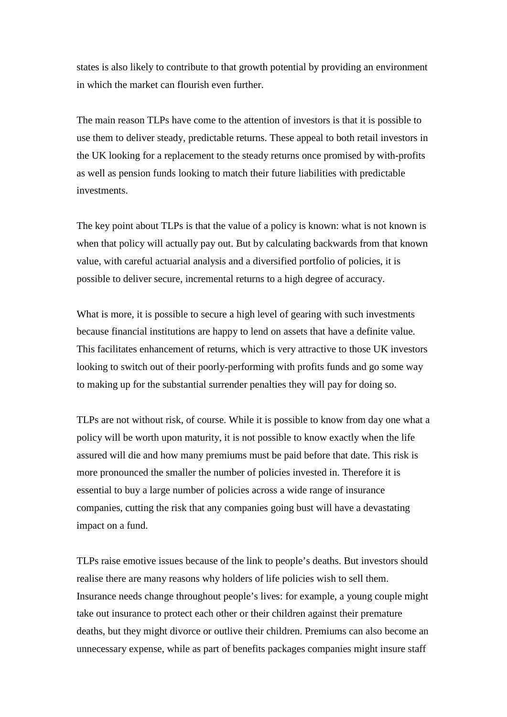states is also likely to contribute to that growth potential by providing an environment in which the market can flourish even further.

The main reason TLPs have come to the attention of investors is that it is possible to use them to deliver steady, predictable returns. These appeal to both retail investors in the UK looking for a replacement to the steady returns once promised by with-profits as well as pension funds looking to match their future liabilities with predictable investments.

The key point about TLPs is that the value of a policy is known: what is not known is when that policy will actually pay out. But by calculating backwards from that known value, with careful actuarial analysis and a diversified portfolio of policies, it is possible to deliver secure, incremental returns to a high degree of accuracy.

What is more, it is possible to secure a high level of gearing with such investments because financial institutions are happy to lend on assets that have a definite value. This facilitates enhancement of returns, which is very attractive to those UK investors looking to switch out of their poorly-performing with profits funds and go some way to making up for the substantial surrender penalties they will pay for doing so.

TLPs are not without risk, of course. While it is possible to know from day one what a policy will be worth upon maturity, it is not possible to know exactly when the life assured will die and how many premiums must be paid before that date. This risk is more pronounced the smaller the number of policies invested in. Therefore it is essential to buy a large number of policies across a wide range of insurance companies, cutting the risk that any companies going bust will have a devastating impact on a fund.

TLPs raise emotive issues because of the link to people's deaths. But investors should realise there are many reasons why holders of life policies wish to sell them. Insurance needs change throughout people's lives: for example, a young couple might take out insurance to protect each other or their children against their premature deaths, but they might divorce or outlive their children. Premiums can also become an unnecessary expense, while as part of benefits packages companies might insure staff